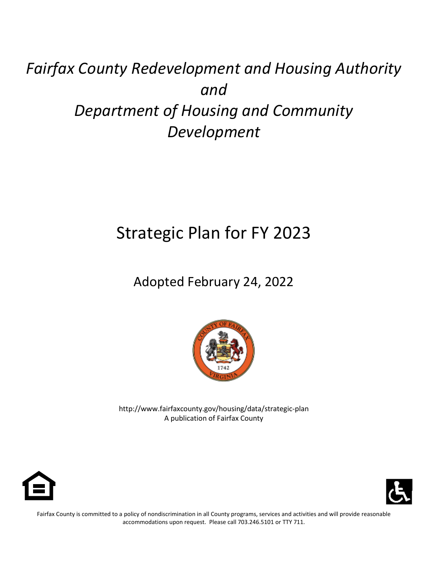# *Fairfax County Redevelopment and Housing Authority and Department of Housing and Community Development*

# Strategic Plan for FY 2023

Adopted February 24, 2022



http://www.fairfaxcounty.gov/housing/data/strategic-plan A publication of Fairfax County





Fairfax County is committed to a policy of nondiscrimination in all County programs, services and activities and will provide reasonable accommodations upon request. Please call 703.246.5101 or TTY 711.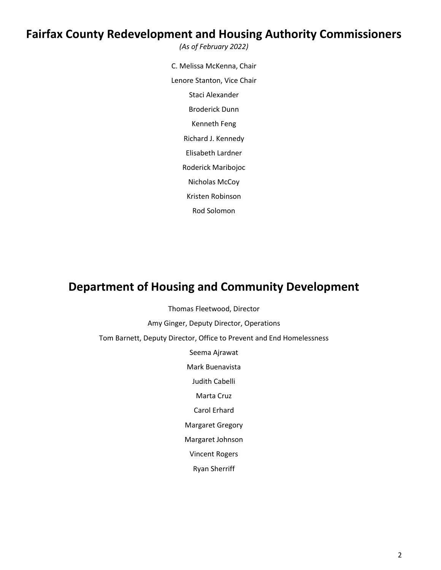### **Fairfax County Redevelopment and Housing Authority Commissioners** *(As of February 2022)*

C. Melissa McKenna, Chair Lenore Stanton, Vice Chair Staci Alexander Broderick Dunn Kenneth Feng Richard J. Kennedy Elisabeth Lardner Roderick Maribojoc Nicholas McCoy Kristen Robinson Rod Solomon

### **Department of Housing and Community Development**

Thomas Fleetwood, Director

Amy Ginger, Deputy Director, Operations

Tom Barnett, Deputy Director, Office to Prevent and End Homelessness

Seema Ajrawat

Mark Buenavista

Judith Cabelli

Marta Cruz

Carol Erhard

Margaret Gregory

Margaret Johnson

Vincent Rogers

Ryan Sherriff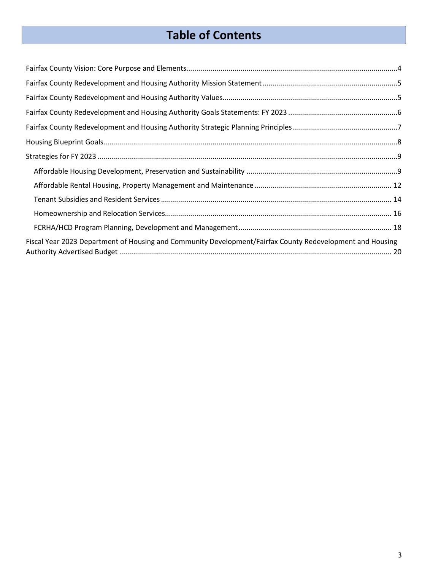## **Table of Contents**

| Fiscal Year 2023 Department of Housing and Community Development/Fairfax County Redevelopment and Housing |  |
|-----------------------------------------------------------------------------------------------------------|--|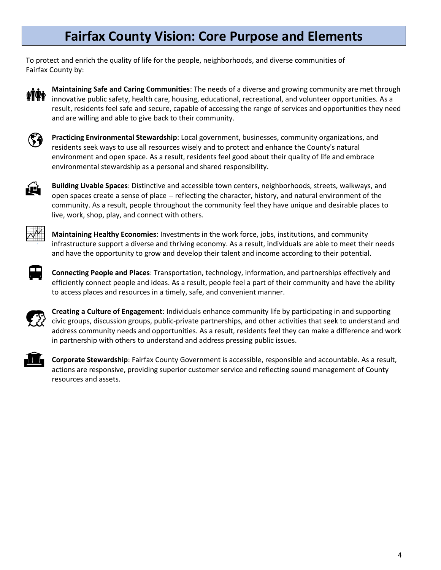### **Fairfax County Vision: Core Purpose and Elements**

<span id="page-3-0"></span>To protect and enrich the quality of life for the people, neighborhoods, and diverse communities of Fairfax County by:



**Maintaining Safe and Caring Communities**: The needs of a diverse and growing community are met through innovative public safety, health care, housing, educational, recreational, and volunteer opportunities. As a result, residents feel safe and secure, capable of accessing the range of services and opportunities they need and are willing and able to give back to their community.



**Practicing Environmental Stewardship**: Local government, businesses, community organizations, and residents seek ways to use all resources wisely and to protect and enhance the County's natural environment and open space. As a result, residents feel good about their quality of life and embrace environmental stewardship as a personal and shared responsibility.



**Building Livable Spaces**: Distinctive and accessible town centers, neighborhoods, streets, walkways, and open spaces create a sense of place -- reflecting the character, history, and natural environment of the community. As a result, people throughout the community feel they have unique and desirable places to live, work, shop, play, and connect with others.



**Maintaining Healthy Economies**: Investments in the work force, jobs, institutions, and community infrastructure support a diverse and thriving economy. As a result, individuals are able to meet their needs and have the opportunity to grow and develop their talent and income according to their potential.



**Connecting People and Places**: Transportation, technology, information, and partnerships effectively and efficiently connect people and ideas. As a result, people feel a part of their community and have the ability to access places and resources in a timely, safe, and convenient manner.



**Creating a Culture of Engagement**: Individuals enhance community life by participating in and supporting civic groups, discussion groups, public-private partnerships, and other activities that seek to understand and address community needs and opportunities. As a result, residents feel they can make a difference and work in partnership with others to understand and address pressing public issues.



**Corporate Stewardship**: Fairfax County Government is accessible, responsible and accountable. As a result, actions are responsive, providing superior customer service and reflecting sound management of County resources and assets.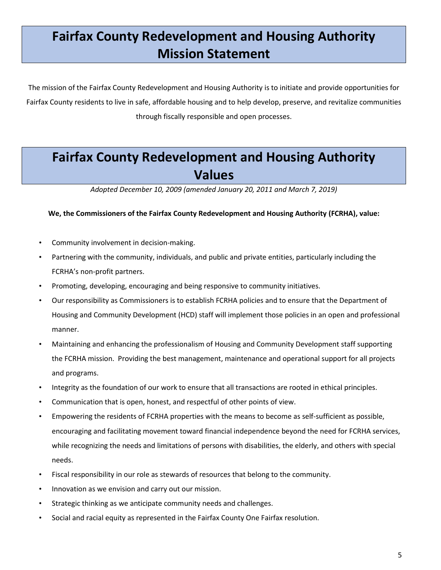## <span id="page-4-1"></span><span id="page-4-0"></span>**Fairfax County Redevelopment and Housing Authority Mission Statement**

The mission of the Fairfax County Redevelopment and Housing Authority is to initiate and provide opportunities for Fairfax County residents to live in safe, affordable housing and to help develop, preserve, and revitalize communities through fiscally responsible and open processes.

### <span id="page-4-3"></span><span id="page-4-2"></span>**Fairfax County Redevelopment and Housing Authority Values**

*Adopted December 10, 2009 (amended January 20, 2011 and March 7, 2019)*

**We, the Commissioners of the Fairfax County Redevelopment and Housing Authority (FCRHA), value:**

- Community involvement in decision-making.
- Partnering with the community, individuals, and public and private entities, particularly including the FCRHA's non-profit partners.
- Promoting, developing, encouraging and being responsive to community initiatives.
- Our responsibility as Commissioners is to establish FCRHA policies and to ensure that the Department of Housing and Community Development (HCD) staff will implement those policies in an open and professional manner.
- Maintaining and enhancing the professionalism of Housing and Community Development staff supporting the FCRHA mission. Providing the best management, maintenance and operational support for all projects and programs.
- Integrity as the foundation of our work to ensure that all transactions are rooted in ethical principles.
- Communication that is open, honest, and respectful of other points of view.
- Empowering the residents of FCRHA properties with the means to become as self-sufficient as possible, encouraging and facilitating movement toward financial independence beyond the need for FCRHA services, while recognizing the needs and limitations of persons with disabilities, the elderly, and others with special needs.
- Fiscal responsibility in our role as stewards of resources that belong to the community.
- Innovation as we envision and carry out our mission.
- Strategic thinking as we anticipate community needs and challenges.
- Social and racial equity as represented in the Fairfax County One Fairfax resolution.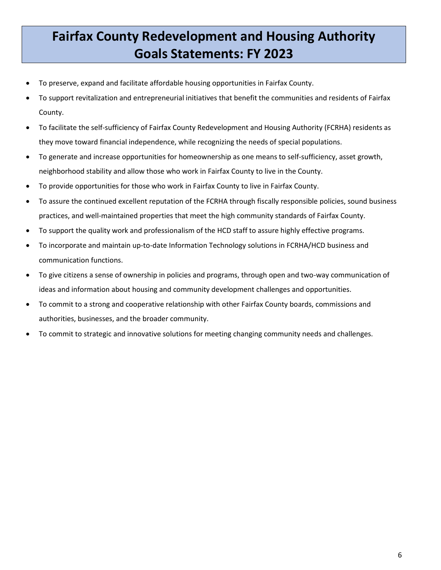## <span id="page-5-1"></span><span id="page-5-0"></span>**Fairfax County Redevelopment and Housing Authority Goals Statements: FY 2023**

- To preserve, expand and facilitate affordable housing opportunities in Fairfax County.
- To support revitalization and entrepreneurial initiatives that benefit the communities and residents of Fairfax County.
- To facilitate the self-sufficiency of Fairfax County Redevelopment and Housing Authority (FCRHA) residents as they move toward financial independence, while recognizing the needs of special populations.
- To generate and increase opportunities for homeownership as one means to self-sufficiency, asset growth, neighborhood stability and allow those who work in Fairfax County to live in the County.
- To provide opportunities for those who work in Fairfax County to live in Fairfax County.
- To assure the continued excellent reputation of the FCRHA through fiscally responsible policies, sound business practices, and well-maintained properties that meet the high community standards of Fairfax County.
- To support the quality work and professionalism of the HCD staff to assure highly effective programs.
- To incorporate and maintain up-to-date Information Technology solutions in FCRHA/HCD business and communication functions.
- To give citizens a sense of ownership in policies and programs, through open and two-way communication of ideas and information about housing and community development challenges and opportunities.
- To commit to a strong and cooperative relationship with other Fairfax County boards, commissions and authorities, businesses, and the broader community.
- To commit to strategic and innovative solutions for meeting changing community needs and challenges.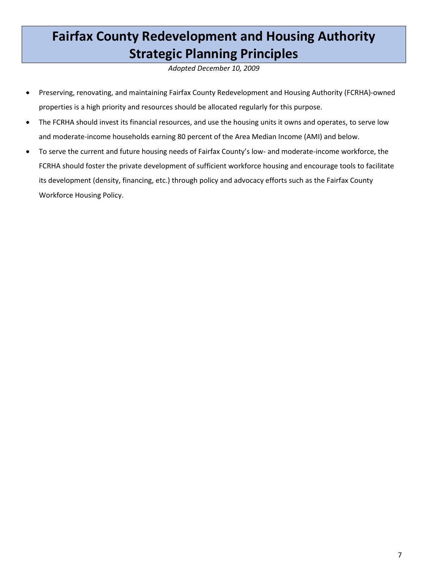## <span id="page-6-1"></span><span id="page-6-0"></span>**Fairfax County Redevelopment and Housing Authority Strategic Planning Principles**

*Adopted December 10, 2009*

- Preserving, renovating, and maintaining Fairfax County Redevelopment and Housing Authority (FCRHA)-owned properties is a high priority and resources should be allocated regularly for this purpose.
- The FCRHA should invest its financial resources, and use the housing units it owns and operates, to serve low and moderate-income households earning 80 percent of the Area Median Income (AMI) and below.
- To serve the current and future housing needs of Fairfax County's low- and moderate-income workforce, the FCRHA should foster the private development of sufficient workforce housing and encourage tools to facilitate its development (density, financing, etc.) through policy and advocacy efforts such as the Fairfax County Workforce Housing Policy.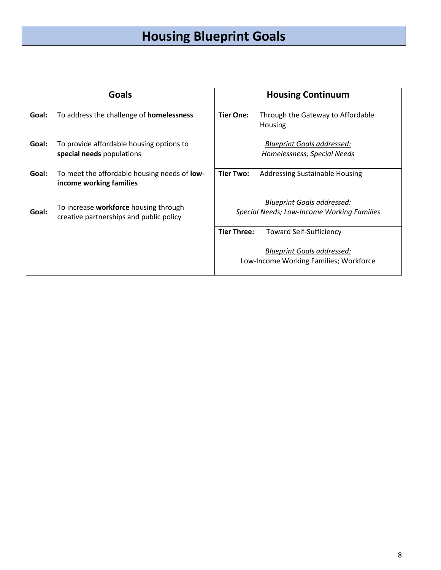## **Housing Blueprint Goals**

<span id="page-7-0"></span>

|       | <b>Goals</b>                                                                            | <b>Housing Continuum</b>                                                        |  |
|-------|-----------------------------------------------------------------------------------------|---------------------------------------------------------------------------------|--|
| Goal: | To address the challenge of <b>homelessness</b>                                         | Tier One:<br>Through the Gateway to Affordable<br>Housing                       |  |
| Goal: | To provide affordable housing options to<br>special needs populations                   | <b>Blueprint Goals addressed:</b><br>Homelessness; Special Needs                |  |
| Goal: | To meet the affordable housing needs of low-<br>income working families                 | Tier Two:<br><b>Addressing Sustainable Housing</b>                              |  |
| Goal: | To increase <b>workforce</b> housing through<br>creative partnerships and public policy | <b>Blueprint Goals addressed:</b><br>Special Needs; Low-Income Working Families |  |
|       |                                                                                         | <b>Tier Three:</b><br><b>Toward Self-Sufficiency</b>                            |  |
|       |                                                                                         | <b>Blueprint Goals addressed:</b><br>Low-Income Working Families; Workforce     |  |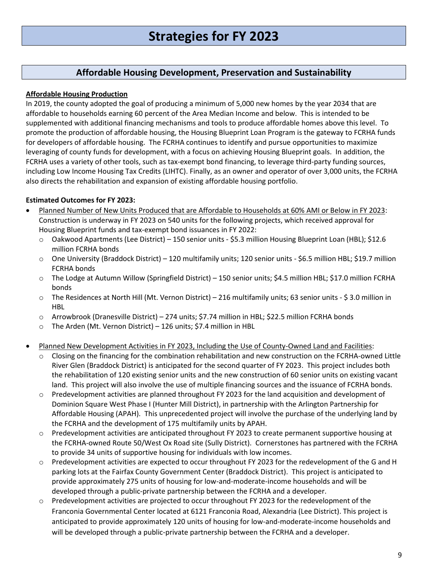### **Affordable Housing Development, Preservation and Sustainability**

#### <span id="page-8-1"></span><span id="page-8-0"></span>**Affordable Housing Production**

In 2019, the county adopted the goal of producing a minimum of 5,000 new homes by the year 2034 that are affordable to households earning 60 percent of the Area Median Income and below. This is intended to be supplemented with additional financing mechanisms and tools to produce affordable homes above this level. To promote the production of affordable housing, the Housing Blueprint Loan Program is the gateway to FCRHA funds for developers of affordable housing. The FCRHA continues to identify and pursue opportunities to maximize leveraging of county funds for development, with a focus on achieving Housing Blueprint goals. In addition, the FCRHA uses a variety of other tools, such as tax-exempt bond financing, to leverage third-party funding sources, including Low Income Housing Tax Credits (LIHTC). Finally, as an owner and operator of over 3,000 units, the FCRHA also directs the rehabilitation and expansion of existing affordable housing portfolio.

- Planned Number of New Units Produced that are Affordable to Households at 60% AMI or Below in FY 2023: Construction is underway in FY 2023 on 540 units for the following projects, which received approval for Housing Blueprint funds and tax-exempt bond issuances in FY 2022:
	- o Oakwood Apartments (Lee District) 150 senior units \$5.3 million Housing Blueprint Loan (HBL); \$12.6 million FCRHA bonds
	- o One University (Braddock District) 120 multifamily units; 120 senior units \$6.5 million HBL; \$19.7 million FCRHA bonds
	- o The Lodge at Autumn Willow (Springfield District) 150 senior units; \$4.5 million HBL; \$17.0 million FCRHA bonds
	- o The Residences at North Hill (Mt. Vernon District) 216 multifamily units; 63 senior units \$ 3.0 million in HBL
	- o Arrowbrook (Dranesville District) 274 units; \$7.74 million in HBL; \$22.5 million FCRHA bonds
	- o The Arden (Mt. Vernon District) 126 units; \$7.4 million in HBL
- Planned New Development Activities in FY 2023, Including the Use of County-Owned Land and Facilities:
	- Closing on the financing for the combination rehabilitation and new construction on the FCRHA-owned Little River Glen (Braddock District) is anticipated for the second quarter of FY 2023. This project includes both the rehabilitation of 120 existing senior units and the new construction of 60 senior units on existing vacant land. This project will also involve the use of multiple financing sources and the issuance of FCRHA bonds.
	- $\circ$  Predevelopment activities are planned throughout FY 2023 for the land acquisition and development of Dominion Square West Phase I (Hunter Mill District), in partnership with the Arlington Partnership for Affordable Housing (APAH). This unprecedented project will involve the purchase of the underlying land by the FCRHA and the development of 175 multifamily units by APAH.
	- o Predevelopment activities are anticipated throughout FY 2023 to create permanent supportive housing at the FCRHA-owned Route 50/West Ox Road site (Sully District). Cornerstones has partnered with the FCRHA to provide 34 units of supportive housing for individuals with low incomes.
	- o Predevelopment activities are expected to occur throughout FY 2023 for the redevelopment of the G and H parking lots at the Fairfax County Government Center (Braddock District). This project is anticipated to provide approximately 275 units of housing for low-and-moderate-income households and will be developed through a public-private partnership between the FCRHA and a developer.
	- o Predevelopment activities are projected to occur throughout FY 2023 for the redevelopment of the Franconia Governmental Center located at 6121 Franconia Road, Alexandria (Lee District). This project is anticipated to provide approximately 120 units of housing for low-and-moderate-income households and will be developed through a public-private partnership between the FCRHA and a developer.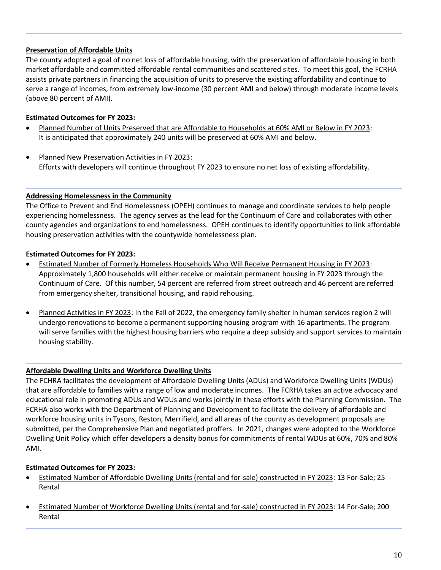#### **Preservation of Affordable Units**

The county adopted a goal of no net loss of affordable housing, with the preservation of affordable housing in both market affordable and committed affordable rental communities and scattered sites. To meet this goal, the FCRHA assists private partners in financing the acquisition of units to preserve the existing affordability and continue to serve a range of incomes, from extremely low-income (30 percent AMI and below) through moderate income levels (above 80 percent of AMI).

#### **Estimated Outcomes for FY 2023:**

- Planned Number of Units Preserved that are Affordable to Households at 60% AMI or Below in FY 2023: It is anticipated that approximately 240 units will be preserved at 60% AMI and below.
- Planned New Preservation Activities in FY 2023: Efforts with developers will continue throughout FY 2023 to ensure no net loss of existing affordability.

#### **Addressing Homelessness in the Community**

The Office to Prevent and End Homelessness (OPEH) continues to manage and coordinate services to help people experiencing homelessness. The agency serves as the lead for the Continuum of Care and collaborates with other county agencies and organizations to end homelessness. OPEH continues to identify opportunities to link affordable housing preservation activities with the countywide homelessness plan.

#### **Estimated Outcomes for FY 2023:**

- Estimated Number of Formerly Homeless Households Who Will Receive Permanent Housing in FY 2023: Approximately 1,800 households will either receive or maintain permanent housing in FY 2023 through the Continuum of Care. Of this number, 54 percent are referred from street outreach and 46 percent are referred from emergency shelter, transitional housing, and rapid rehousing.
- Planned Activities in FY 2023: In the Fall of 2022, the emergency family shelter in human services region 2 will undergo renovations to become a permanent supporting housing program with 16 apartments. The program will serve families with the highest housing barriers who require a deep subsidy and support services to maintain housing stability.

#### **Affordable Dwelling Units and Workforce Dwelling Units**

The FCHRA facilitates the development of Affordable Dwelling Units (ADUs) and Workforce Dwelling Units (WDUs) that are affordable to families with a range of low and moderate incomes. The FCRHA takes an active advocacy and educational role in promoting ADUs and WDUs and works jointly in these efforts with the Planning Commission. The FCRHA also works with the Department of Planning and Development to facilitate the delivery of affordable and workforce housing units in Tysons, Reston, Merrifield, and all areas of the county as development proposals are submitted, per the Comprehensive Plan and negotiated proffers. In 2021, changes were adopted to the Workforce Dwelling Unit Policy which offer developers a density bonus for commitments of rental WDUs at 60%, 70% and 80% AMI.

- Estimated Number of Affordable Dwelling Units (rental and for-sale) constructed in FY 2023: 13 For-Sale; 25 Rental
- Estimated Number of Workforce Dwelling Units (rental and for-sale) constructed in FY 2023: 14 For-Sale; 200 Rental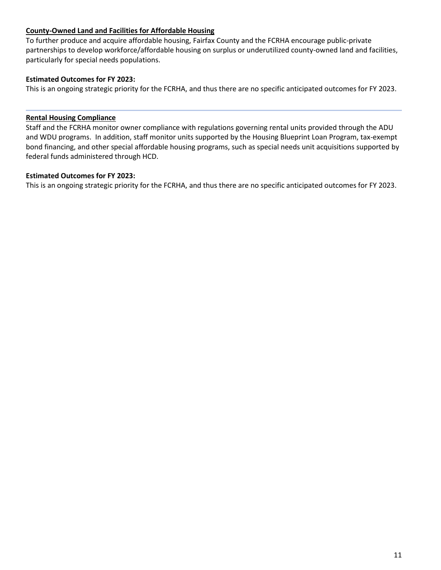#### **County-Owned Land and Facilities for Affordable Housing**

To further produce and acquire affordable housing, Fairfax County and the FCRHA encourage public-private partnerships to develop workforce/affordable housing on surplus or underutilized county-owned land and facilities, particularly for special needs populations.

#### **Estimated Outcomes for FY 2023:**

This is an ongoing strategic priority for the FCRHA, and thus there are no specific anticipated outcomes for FY 2023.

#### **Rental Housing Compliance**

Staff and the FCRHA monitor owner compliance with regulations governing rental units provided through the ADU and WDU programs. In addition, staff monitor units supported by the Housing Blueprint Loan Program, tax-exempt bond financing, and other special affordable housing programs, such as special needs unit acquisitions supported by federal funds administered through HCD.

#### **Estimated Outcomes for FY 2023:**

This is an ongoing strategic priority for the FCRHA, and thus there are no specific anticipated outcomes for FY 2023.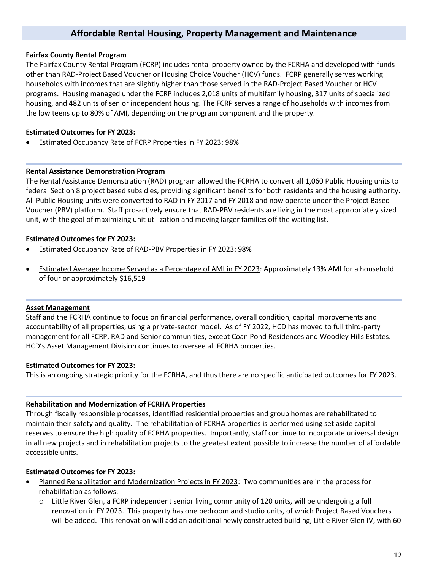### **Affordable Rental Housing, Property Management and Maintenance**

#### <span id="page-11-0"></span>**Fairfax County Rental Program**

The Fairfax County Rental Program (FCRP) includes rental property owned by the FCRHA and developed with funds other than RAD-Project Based Voucher or Housing Choice Voucher (HCV) funds. FCRP generally serves working households with incomes that are slightly higher than those served in the RAD-Project Based Voucher or HCV programs. Housing managed under the FCRP includes 2,018 units of multifamily housing, 317 units of specialized housing, and 482 units of senior independent housing. The FCRP serves a range of households with incomes from the low teens up to 80% of AMI, depending on the program component and the property.

#### **Estimated Outcomes for FY 2023:**

• Estimated Occupancy Rate of FCRP Properties in FY 2023: 98%

#### **Rental Assistance Demonstration Program**

The Rental Assistance Demonstration (RAD) program allowed the FCRHA to convert all 1,060 Public Housing units to federal Section 8 project based subsidies, providing significant benefits for both residents and the housing authority. All Public Housing units were converted to RAD in FY 2017 and FY 2018 and now operate under the Project Based Voucher (PBV) platform. Staff pro-actively ensure that RAD-PBV residents are living in the most appropriately sized unit, with the goal of maximizing unit utilization and moving larger families off the waiting list.

#### **Estimated Outcomes for FY 2023:**

- Estimated Occupancy Rate of RAD-PBV Properties in FY 2023: 98%
- Estimated Average Income Served as a Percentage of AMI in FY 2023: Approximately 13% AMI for a household of four or approximately \$16,519

#### **Asset Management**

Staff and the FCRHA continue to focus on financial performance, overall condition, capital improvements and accountability of all properties, using a private-sector model. As of FY 2022, HCD has moved to full third-party management for all FCRP, RAD and Senior communities, except Coan Pond Residences and Woodley Hills Estates. HCD's Asset Management Division continues to oversee all FCRHA properties.

#### **Estimated Outcomes for FY 2023:**

This is an ongoing strategic priority for the FCRHA, and thus there are no specific anticipated outcomes for FY 2023.

#### **Rehabilitation and Modernization of FCRHA Properties**

Through fiscally responsible processes, identified residential properties and group homes are rehabilitated to maintain their safety and quality. The rehabilitation of FCRHA properties is performed using set aside capital reserves to ensure the high quality of FCRHA properties. Importantly, staff continue to incorporate universal design in all new projects and in rehabilitation projects to the greatest extent possible to increase the number of affordable accessible units.

- Planned Rehabilitation and Modernization Projects in FY 2023: Two communities are in the process for rehabilitation as follows:
	- $\circ$  Little River Glen, a FCRP independent senior living community of 120 units, will be undergoing a full renovation in FY 2023. This property has one bedroom and studio units, of which Project Based Vouchers will be added. This renovation will add an additional newly constructed building, Little River Glen IV, with 60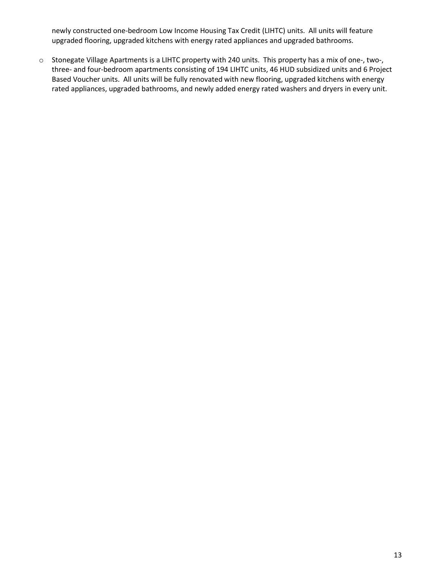newly constructed one-bedroom Low Income Housing Tax Credit (LIHTC) units. All units will feature upgraded flooring, upgraded kitchens with energy rated appliances and upgraded bathrooms.

o Stonegate Village Apartments is a LIHTC property with 240 units. This property has a mix of one-, two-, three- and four-bedroom apartments consisting of 194 LIHTC units, 46 HUD subsidized units and 6 Project Based Voucher units. All units will be fully renovated with new flooring, upgraded kitchens with energy rated appliances, upgraded bathrooms, and newly added energy rated washers and dryers in every unit.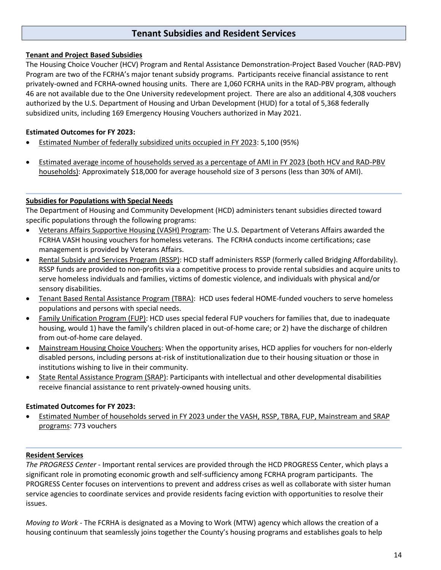### **Tenant Subsidies and Resident Services**

#### <span id="page-13-0"></span>**Tenant and Project Based Subsidies**

The Housing Choice Voucher (HCV) Program and Rental Assistance Demonstration-Project Based Voucher (RAD-PBV) Program are two of the FCRHA's major tenant subsidy programs. Participants receive financial assistance to rent privately-owned and FCRHA-owned housing units. There are 1,060 FCRHA units in the RAD-PBV program, although 46 are not available due to the One University redevelopment project. There are also an additional 4,308 vouchers authorized by the U.S. Department of Housing and Urban Development (HUD) for a total of 5,368 federally subsidized units, including 169 Emergency Housing Vouchers authorized in May 2021.

#### **Estimated Outcomes for FY 2023:**

- Estimated Number of federally subsidized units occupied in FY 2023: 5,100 (95%)
- Estimated average income of households served as a percentage of AMI in FY 2023 (both HCV and RAD-PBV households): Approximately \$18,000 for average household size of 3 persons (less than 30% of AMI).

#### **Subsidies for Populations with Special Needs**

The Department of Housing and Community Development (HCD) administers tenant subsidies directed toward specific populations through the following programs:

- Veterans Affairs Supportive Housing (VASH) Program: The U.S. Department of Veterans Affairs awarded the FCRHA VASH housing vouchers for homeless veterans. The FCRHA conducts income certifications; case management is provided by Veterans Affairs.
- Rental Subsidy and Services Program (RSSP): HCD staff administers RSSP (formerly called Bridging Affordability). RSSP funds are provided to non-profits via a competitive process to provide rental subsidies and acquire units to serve homeless individuals and families, victims of domestic violence, and individuals with physical and/or sensory disabilities.
- Tenant Based Rental Assistance Program (TBRA): HCD uses federal HOME-funded vouchers to serve homeless populations and persons with special needs.
- Family Unification Program (FUP): HCD uses special federal FUP vouchers for families that, due to inadequate housing, would 1) have the family's children placed in out-of-home care; or 2) have the discharge of children from out-of-home care delayed.
- Mainstream Housing Choice Vouchers: When the opportunity arises, HCD applies for vouchers for non-elderly disabled persons, including persons at-risk of institutionalization due to their housing situation or those in institutions wishing to live in their community.
- State Rental Assistance Program (SRAP): Participants with intellectual and other developmental disabilities receive financial assistance to rent privately-owned housing units.

#### **Estimated Outcomes for FY 2023:**

• Estimated Number of households served in FY 2023 under the VASH, RSSP, TBRA, FUP, Mainstream and SRAP programs: 773 vouchers

#### **Resident Services**

*The PROGRESS Center* - Important rental services are provided through the HCD PROGRESS Center, which plays a significant role in promoting economic growth and self-sufficiency among FCRHA program participants. The PROGRESS Center focuses on interventions to prevent and address crises as well as collaborate with sister human service agencies to coordinate services and provide residents facing eviction with opportunities to resolve their issues.

*Moving to Work* - The FCRHA is designated as a Moving to Work (MTW) agency which allows the creation of a housing continuum that seamlessly joins together the County's housing programs and establishes goals to help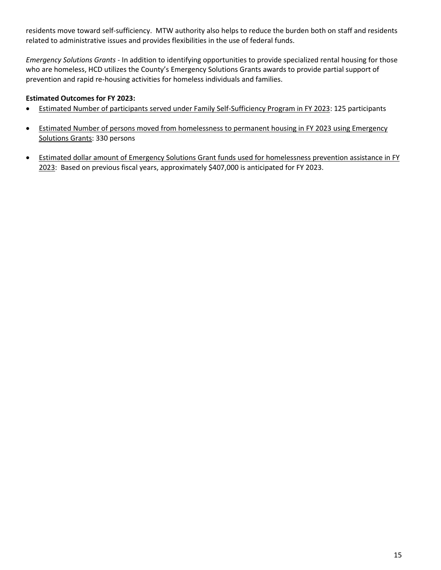residents move toward self-sufficiency. MTW authority also helps to reduce the burden both on staff and residents related to administrative issues and provides flexibilities in the use of federal funds.

*Emergency Solutions Grants* - In addition to identifying opportunities to provide specialized rental housing for those who are homeless, HCD utilizes the County's Emergency Solutions Grants awards to provide partial support of prevention and rapid re-housing activities for homeless individuals and families.

- Estimated Number of participants served under Family Self-Sufficiency Program in FY 2023: 125 participants
- Estimated Number of persons moved from homelessness to permanent housing in FY 2023 using Emergency Solutions Grants: 330 persons
- Estimated dollar amount of Emergency Solutions Grant funds used for homelessness prevention assistance in FY 2023: Based on previous fiscal years, approximately \$407,000 is anticipated for FY 2023.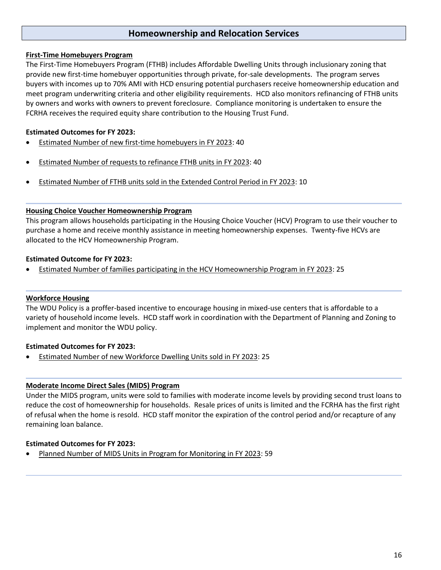#### **Homeownership and Relocation Services**

#### <span id="page-15-0"></span>**First-Time Homebuyers Program**

The First-Time Homebuyers Program (FTHB) includes Affordable Dwelling Units through inclusionary zoning that provide new first-time homebuyer opportunities through private, for-sale developments. The program serves buyers with incomes up to 70% AMI with HCD ensuring potential purchasers receive homeownership education and meet program underwriting criteria and other eligibility requirements. HCD also monitors refinancing of FTHB units by owners and works with owners to prevent foreclosure. Compliance monitoring is undertaken to ensure the FCRHA receives the required equity share contribution to the Housing Trust Fund.

#### **Estimated Outcomes for FY 2023:**

- Estimated Number of new first-time homebuyers in FY 2023: 40
- Estimated Number of requests to refinance FTHB units in FY 2023: 40
- Estimated Number of FTHB units sold in the Extended Control Period in FY 2023: 10

#### **Housing Choice Voucher Homeownership Program**

This program allows households participating in the Housing Choice Voucher (HCV) Program to use their voucher to purchase a home and receive monthly assistance in meeting homeownership expenses. Twenty-five HCVs are allocated to the HCV Homeownership Program.

#### **Estimated Outcome for FY 2023:**

• Estimated Number of families participating in the HCV Homeownership Program in FY 2023: 25

#### **Workforce Housing**

The WDU Policy is a proffer-based incentive to encourage housing in mixed-use centers that is affordable to a variety of household income levels. HCD staff work in coordination with the Department of Planning and Zoning to implement and monitor the WDU policy.

#### **Estimated Outcomes for FY 2023:**

• Estimated Number of new Workforce Dwelling Units sold in FY 2023: 25

#### **Moderate Income Direct Sales (MIDS) Program**

Under the MIDS program, units were sold to families with moderate income levels by providing second trust loans to reduce the cost of homeownership for households. Resale prices of units is limited and the FCRHA has the first right of refusal when the home is resold. HCD staff monitor the expiration of the control period and/or recapture of any remaining loan balance.

#### **Estimated Outcomes for FY 2023:**

• Planned Number of MIDS Units in Program for Monitoring in FY 2023: 59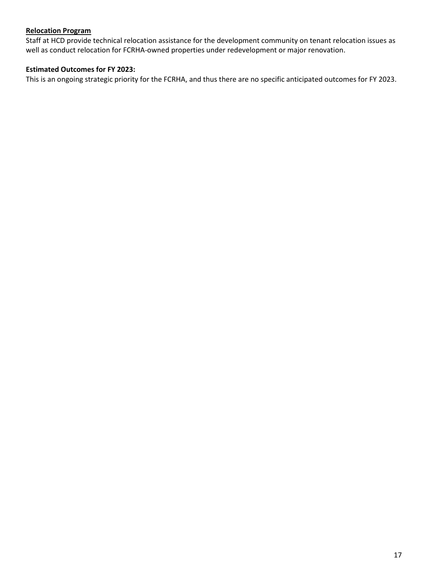#### **Relocation Program**

Staff at HCD provide technical relocation assistance for the development community on tenant relocation issues as well as conduct relocation for FCRHA-owned properties under redevelopment or major renovation.

#### **Estimated Outcomes for FY 2023:**

This is an ongoing strategic priority for the FCRHA, and thus there are no specific anticipated outcomes for FY 2023.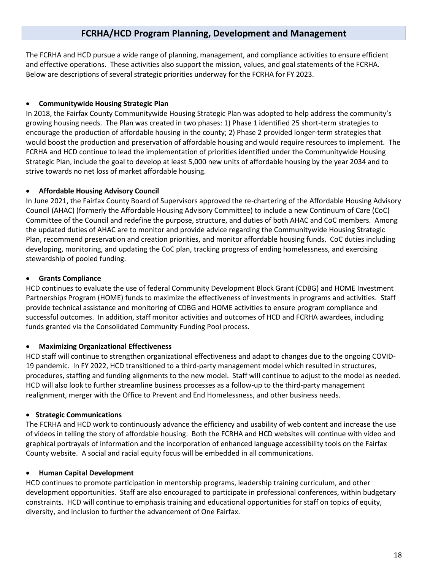### **FCRHA/HCD Program Planning, Development and Management**

<span id="page-17-0"></span>The FCRHA and HCD pursue a wide range of planning, management, and compliance activities to ensure efficient and effective operations. These activities also support the mission, values, and goal statements of the FCRHA. Below are descriptions of several strategic priorities underway for the FCRHA for FY 2023.

#### • **Communitywide Housing Strategic Plan**

In 2018, the Fairfax County Communitywide Housing Strategic Plan was adopted to help address the community's growing housing needs. The Plan was created in two phases: 1) Phase 1 identified 25 short-term strategies to encourage the production of affordable housing in the county; 2) Phase 2 provided longer-term strategies that would boost the production and preservation of affordable housing and would require resources to implement. The FCRHA and HCD continue to lead the implementation of priorities identified under the Communitywide Housing Strategic Plan, include the goal to develop at least 5,000 new units of affordable housing by the year 2034 and to strive towards no net loss of market affordable housing.

#### • **Affordable Housing Advisory Council**

In June 2021, the Fairfax County Board of Supervisors approved the re-chartering of the Affordable Housing Advisory Council (AHAC) (formerly the Affordable Housing Advisory Committee) to include a new Continuum of Care (CoC) Committee of the Council and redefine the purpose, structure, and duties of both AHAC and CoC members. Among the updated duties of AHAC are to monitor and provide advice regarding the Communitywide Housing Strategic Plan, recommend preservation and creation priorities, and monitor affordable housing funds. CoC duties including developing, monitoring, and updating the CoC plan, tracking progress of ending homelessness, and exercising stewardship of pooled funding.

#### • **Grants Compliance**

HCD continues to evaluate the use of federal Community Development Block Grant (CDBG) and HOME Investment Partnerships Program (HOME) funds to maximize the effectiveness of investments in programs and activities. Staff provide technical assistance and monitoring of CDBG and HOME activities to ensure program compliance and successful outcomes. In addition, staff monitor activities and outcomes of HCD and FCRHA awardees, including funds granted via the Consolidated Community Funding Pool process.

#### • **Maximizing Organizational Effectiveness**

HCD staff will continue to strengthen organizational effectiveness and adapt to changes due to the ongoing COVID-19 pandemic. In FY 2022, HCD transitioned to a third-party management model which resulted in structures, procedures, staffing and funding alignments to the new model. Staff will continue to adjust to the model as needed. HCD will also look to further streamline business processes as a follow-up to the third-party management realignment, merger with the Office to Prevent and End Homelessness, and other business needs.

#### • **Strategic Communications**

The FCRHA and HCD work to continuously advance the efficiency and usability of web content and increase the use of videos in telling the story of affordable housing. Both the FCRHA and HCD websites will continue with video and graphical portrayals of information and the incorporation of enhanced language accessibility tools on the Fairfax County website. A social and racial equity focus will be embedded in all communications.

#### • **Human Capital Development**

HCD continues to promote participation in mentorship programs, leadership training curriculum, and other development opportunities. Staff are also encouraged to participate in professional conferences, within budgetary constraints. HCD will continue to emphasis training and educational opportunities for staff on topics of equity, diversity, and inclusion to further the advancement of One Fairfax.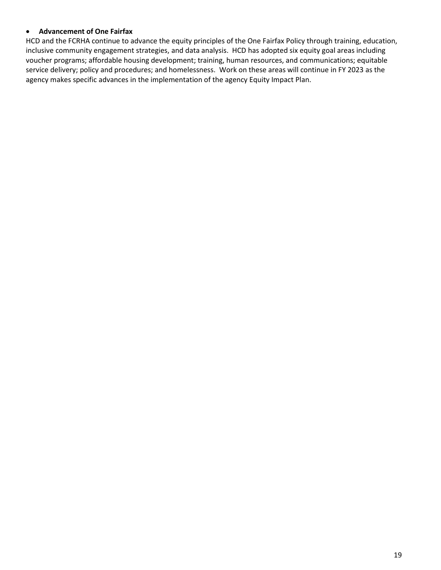#### • **Advancement of One Fairfax**

HCD and the FCRHA continue to advance the equity principles of the One Fairfax Policy through training, education, inclusive community engagement strategies, and data analysis. HCD has adopted six equity goal areas including voucher programs; affordable housing development; training, human resources, and communications; equitable service delivery; policy and procedures; and homelessness. Work on these areas will continue in FY 2023 as the agency makes specific advances in the implementation of the agency Equity Impact Plan.